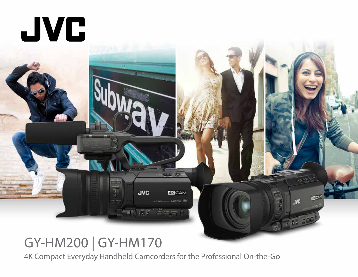

# GY-HM200 | GY-HM170

4K Compact Everyday Handheld Camcorders for the Professional On-the-Go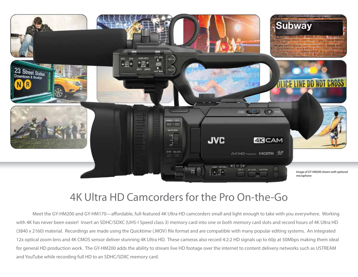

## 4K Ultra HD Camcorders for the Pro On-the-Go

Meet the GY-HM200 and GY-HM170—affordable, full-featured 4K Ultra HD camcorders small and light enough to take with you everywhere. Working with 4K has never been easier! Insert an SDHC/SDXC (UHS-I Speed class 3) memory card into one or both memory card slots and record hours of 4K Ultra HD (3840 x 2160) material. Recordings are made using the Quicktime (.MOV) file format and are compatible with many popular editing systems. An integrated 12x optical zoom lens and 4K CMOS sensor deliver stunning 4K Ultra HD. These cameras also record 4:2:2 HD signals up to 60p at 50Mbps making them ideal for general HD production work. The GY-HM200 adds the ability to stream live HD footage over the internet to content delivery networks such as USTREAM and YouTube while recording full HD to an SDHC/SDXC memory card.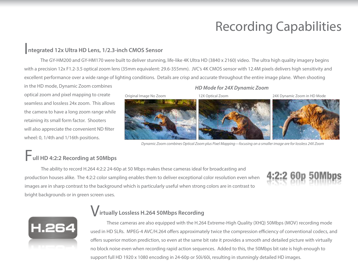# Recording Capabilities

#### I**ntegrated 12x Ultra HD Lens, 1/2.3-inch CMOS Sensor**

The GY-HM200 and GY-HM170 were built to deliver stunning, life-like 4K Ultra HD (3840 x 2160) video. The ultra high quality imagery begins with a precision 12x F1.2-3.5 optical zoom lens (35mm equivalent: 29.6-355mm). JVC's 4K CMOS sensor with 12.4M pixels delivers high sensitivity and excellent performance over a wide range of lighting conditions. Details are crisp and accurate throughout the entire image plane. When shooting

in the HD mode, Dynamic Zoom combines optical zoom and pixel mapping to create seamless and lossless 24x zoom. This allows the camera to have a long zoom range while retaining its small form factor. Shooters will also appreciate the convenient ND filter wheel: 0, 1/4th and 1/16th positions.

#### *HD Mode for 24X Dynamic Zoom*



*Dynamic Zoom combines Optical Zoom plus Pixel Mapping—focusing on a smaller image are for lossless 24X Zoom*

### F**ull HD 4:2:2 Recording at 50Mbps**

The ability to record H.264 4:2:2 24-60p at 50 Mbps makes these cameras ideal for broadcasting and production houses alike. The 4:2:2 color sampling enables them to deliver exceptional color resolution even when images are in sharp contrast to the background which is particularly useful when strong colors are in contrast to bright backgrounds or in green screen uses.





#### V**irtually Lossless H.264 50Mbps Recording**

These cameras are also equipped with the H.264 Extreme-High Quality (XHQ) 50Mbps (MOV) recording mode used in HD SLRs. MPEG-4 AVC/H.264 offers approximately twice the compression efficiency of conventional codecs, and offers superior motion prediction, so even at the same bit rate it provides a smooth and detailed picture with virtually no block noise even when recording rapid action sequences. Added to this, the 50Mbps bit rate is high enough to support full HD 1920 x 1080 encoding in 24-60p or 50i/60i, resulting in stunningly detailed HD images.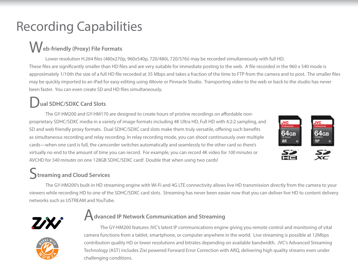# Recording Capabilities

# W**eb-friendly (Proxy) File Formats**

Lower resolution H.264 files (480x270p, 960x540p, 720/480i, 720/576i) may be recorded simultaneously with full HD. These files are significantly smaller than HD files and are very suitable for immediate posting to the web. A file recorded in the 960 x 540 mode is approximately 1/10th the size of a full HD file recorded at 35 Mbps and takes a fraction of the time to FTP from the camera and to post. The smaller files may be quickly imported to an iPad for easy editing using iMovie or Pinnacle Studio. Transporting video to the web or back to the studio has never been faster. You can even create SD and HD files simultaneously.

### D**ual SDHC/SDXC Card Slots**

The GY-HM200 and GY-HM170 are designed to create hours of pristine recordings on affordable nonproprietary SDHC/SDXC media in a variety of image formats including 4K Ultra HD, Full HD with 4:2:2 sampling, and SD and web friendly proxy formats. Dual SDHC/SDXC card slots make them truly versatile, offering such benefits as simultaneous recording and relay recording. In relay recording mode, you can shoot continuously over multiple cards—when one card is full, the camcorder switches automatically and seamlessly to the other card so there's virtually no end to the amount of time you can record. For example, you can record 4K video for *100 minutes* or AVCHD for *540 minutes* on one 128GB SDHC/SDXC card! Double that when using two cards!



### **Streaming and Cloud Services**

The GY-HM200's built-in HD streaming engine with Wi-Fi and 4G LTE connectivity allows live HD transmission directly from the camera to your viewers while recording HD to one of the SDHC/SDXC card slots. Streaming has never been easier now that you can deliver live HD to content delivery networks such as USTREAM and YouTube.



#### A**dvanced IP Network Communication and Streaming**



The GY-HM200 features JVC's latest IP communications engine giving you remote control and monitoring of vital camera functions from a tablet, smartphone, or computer anywhere in the world. Live streaming is possible at 12Mbps contribution quality HD or lower resolutions and bitrates depending on available bandwidth. JVC's Advanced Streaming Technology (AST) includes Zixi powered Forward Error Correction with ARQ, delivering high quality streams even under challenging conditions.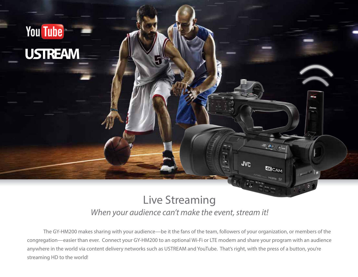

### *When your audience can't make the event, stream it!* Live Streaming

The GY-HM200 makes sharing with your audience—be it the fans of the team, followers of your organization, or members of the congregation—easier than ever. Connect your GY-HM200 to an optional Wi-Fi or LTE modem and share your program with an audience anywhere in the world via content delivery networks such as USTREAM and YouTube. That's right, with the press of a button, you're streaming HD to the world!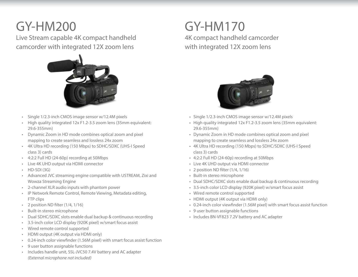## GY-HM200

Live Stream capable 4K compact handheld camcorder with integrated 12X zoom lens



- Single 1/2.3-inch CMOS image sensor w/12.4M pixels •
- High quality integrated 12x F1.2-3.5 zoom lens (35mm equivalent: 29.6-355mm) •
- Dynamic Zoom in HD mode combines optical zoom and pixel mapping to create seamless and lossless 24x zoom •
- 4K Ultra HD recording (150 Mbps) to SDHC/SDXC (UHS-I Speed class 3) cards
- 4:2:2 Full HD (24-60p) recording at 50Mbps •
- Live 4K UHD output via HDMI connector •
- HD-SDI (3G) •
- Advanced JVC streaming engine compatible with USTREAM, Zixi and Wowza Streaming Engine
- 2-channel XLR audio inputs with phantom power •
- IP Network Remote Control, Remote Viewing, Metadata editing, FTP clips
- 2 position ND filter (1/4, 1/16)
- Built-in stereo microphone •
- Dual SDHC/SDXC slots enable dual backup & continuous recording •
- 3.5-inch color LCD display (920K pixel) w/smart focus assist •
- Wired remote control supported •
- HDMI output (4K output via HDMI only) •
- 0.24-inch color viewfinder (1.56M pixel) with smart focus assist function •
- 9 user button assignable functions •
- Includes handle unit, SSL-JVC50 7.4V battery and AC adapter *(External microphone not included)*

### GY-HM170 4K compact handheld camcorder with integrated 12X zoom lens



- Single 1/2.3-inch CMOS image sensor w/12.4M pixels
- High quality integrated 12x F1.2-3.5 zoom lens (35mm equivalent: 29.6-355mm)
- Dynamic Zoom in HD mode combines optical zoom and pixel mapping to create seamless and lossless 24x zoom
- 4K Ultra HD recording (150 Mbps) to SDHC/SDXC (UHS-I Speed class 3) cards
- 4:2:2 Full HD (24-60p) recording at 50Mbps
- Live 4K UHD output via HDMI connector
- 2 position ND filter (1/4, 1/16)
- Built-in stereo microphone
- Dual SDHC/SDXC slots enable dual backup & continuous recording
- 3.5-inch color LCD display (920K pixel) w/smart focus assist
- Wired remote control supported
- HDMI output (4K output via HDMI only)
- 0.24-inch color viewfinder (1.56M pixel) with smart focus assist function
- 9 user button assignable functions
- Includes BN-VF823 7.2V battery and AC adapter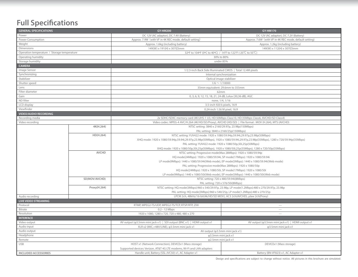#### **Full Specifications**

| <b>GENERAL SPECIFICATIONS</b>               |                                                                                                        | GY-HM200                                                                                                                        | <b>GY-HM170</b>                                            |  |
|---------------------------------------------|--------------------------------------------------------------------------------------------------------|---------------------------------------------------------------------------------------------------------------------------------|------------------------------------------------------------|--|
| Power                                       |                                                                                                        | DC 12V (AC adaptor), DC 7.4V (Battery)                                                                                          | DC 12V (AC adaptor), DC 7.2V (Battery)                     |  |
| Power Consumption                           |                                                                                                        | Approx. 7.9W (with VF in 4K REC mode, default setting)                                                                          | Approx. 7.6W (with VF in 4K REC mode, default setting)     |  |
| Weight                                      |                                                                                                        | Approx. 1.6kg (including battery)                                                                                               | Approx. 1.2kg (including battery)                          |  |
| Dimensions                                  |                                                                                                        | 149(W) x 191(H) x 307(D)mm                                                                                                      | 149(W) x 112(H) x 307(D)mm                                 |  |
| Operation temperature / Storage temperature |                                                                                                        | 32°F to 104°F (0°C to 40°C) / 14°F to 122°F (-20℃ to 50℃)                                                                       |                                                            |  |
| Operating humidity                          |                                                                                                        | 30% to 80%                                                                                                                      |                                                            |  |
| Storage humidity                            |                                                                                                        | under 85%                                                                                                                       |                                                            |  |
| <b>CAMERA</b>                               |                                                                                                        |                                                                                                                                 |                                                            |  |
| Image Sensor                                |                                                                                                        | 1/2.3-inch Back Side Illuminated CMOS   Total 12.4M pixels                                                                      |                                                            |  |
| Synchronizing                               |                                                                                                        | Internal synchronization                                                                                                        |                                                            |  |
| Stabilizer                                  |                                                                                                        | Optical image stabilizer                                                                                                        |                                                            |  |
| Shutter speed                               |                                                                                                        | $1/6 \sim 1/10000$                                                                                                              |                                                            |  |
| Lens                                        |                                                                                                        | 35mm equivalent: 29.6mm to 355mm                                                                                                |                                                            |  |
| Filter diameter                             |                                                                                                        | 62mm                                                                                                                            |                                                            |  |
| Gain                                        |                                                                                                        | 0, 3, 6, 9, 12, 15, 18, 21, 24 dB, Lolux (30,36 dB), AGC                                                                        |                                                            |  |
| ND filter                                   |                                                                                                        | none, 1/4, 1/16                                                                                                                 |                                                            |  |
| LCD display                                 |                                                                                                        | 3.5-inch 920 k pixels, 16:9                                                                                                     |                                                            |  |
| Viewfinder                                  |                                                                                                        | 0.24-inch 1.56 M pixel, 16:9                                                                                                    |                                                            |  |
| <b>VIDEO/AUDIO RECORDING</b>                |                                                                                                        |                                                                                                                                 |                                                            |  |
| Recording media                             |                                                                                                        | 2x SDHC/SDXC memory card (4K:UHS-1 U3, HD:50Mbps Class10, HD:35Mbps Class6, AVCHD/SD Class4)                                    |                                                            |  |
| Video recording                             | Video codec: MPEG-4 AVC/H.264 (4K/HD/SD/Proxy), AVCHD (HD/SD)   File format : MOV (H.264), MTS (AVCHD) |                                                                                                                                 |                                                            |  |
|                                             | 4K(H.264)                                                                                              | NTSC setting: 3840 x 2160/29.97p, 23.98p(150Mbps)                                                                               |                                                            |  |
|                                             |                                                                                                        | PAL setting: 3840 x 2160/25p(150Mbps)                                                                                           |                                                            |  |
|                                             | HD(H.264)                                                                                              | NTSC setting: YUV422 mode: 1920 x 1080/59.94p,59.94i,29.97p,23.98p(50Mbps)                                                      |                                                            |  |
|                                             |                                                                                                        | XHQ mode: 1920 x 1080/59.94p,59.94j,29.97p,23.98p(50Mbps), 1920 x 1080/59.94j,29.97p,23.98p(35Mbps), 1280 x 720/59.94p(35Mbps)  |                                                            |  |
|                                             |                                                                                                        | PAL setting: YUV422 mode: 1920 x 1080/50p,50i,25p(50Mbps)                                                                       |                                                            |  |
|                                             |                                                                                                        | XHQ mode: 1920 x 1080/50p,50i,25p(50Mbps), 1920 x 1080/50i,25p(35Mbps), 1280 x 720/50p(35Mbps)                                  |                                                            |  |
|                                             | <b>AVCHD</b>                                                                                           | NTSC setting: Progressive mode(Max 28Mbps): 1920 x 1080/59.94p                                                                  |                                                            |  |
|                                             |                                                                                                        | HQ mode(24Mbps): 1920 x 1080/59.94i, SP mode(17Mbps): 1920 x 1080/59.94i                                                        |                                                            |  |
|                                             |                                                                                                        | LP mode(9Mbps): 1440 x 1080/59.94i(Web mode), EP mode(5Mbps): 1440 x 1080/59.94i(Web mode)                                      |                                                            |  |
|                                             |                                                                                                        | PAL setting: Progressive mode(Max 28Mbps): 1920 x 1080/50p                                                                      |                                                            |  |
|                                             |                                                                                                        | HQ mode(24Mbps): 1920 x 1080/50i, SP mode(17Mbps): 1920 x 1080/50i                                                              |                                                            |  |
|                                             |                                                                                                        | LP mode(9Mbps): 1440 x 1080/50i(Web mode), EP mode(5Mbps): 1440 x 1080/50i(Web mode)                                            |                                                            |  |
|                                             | SD(MOV/AVCHD)                                                                                          | NTSC setting: 720 x 480/59.94i(8Mbps)                                                                                           |                                                            |  |
| Proxy(H.264)                                |                                                                                                        | PAL setting: 720 x 576/50i(8Mbps)                                                                                               |                                                            |  |
|                                             |                                                                                                        | NTSC setting: HQ mode(3Mbps):960 x 540/29.97p, 23.98p, LP mode(1.2Mbps):480 x 270/29.97p, 23.98p                                |                                                            |  |
|                                             |                                                                                                        | PAL setting: HQ mode(3Mbps):960 x 540/25p, LP mode(1.2Mbps):480 x 270/25p                                                       |                                                            |  |
| Audio recording                             |                                                                                                        | LPCM 2ch, 48kHz/16-bit(4k/HD/SD MOV), AC3 2ch(AVCHD), µlaw 2ch(Proxy)                                                           |                                                            |  |
| <b>LIVE VIDEO STREAMING</b>                 |                                                                                                        |                                                                                                                                 |                                                            |  |
| Protocol                                    |                                                                                                        | RTMP, MPEG2-TS/UDP, MPEG2-TS/TCP, RTSP/RTP, ZIXI                                                                                | $\overline{\phantom{a}}$                                   |  |
| Bitrate                                     |                                                                                                        | $0.2 - 12$ Mbps                                                                                                                 | $\overline{\phantom{m}}$                                   |  |
| Resolution                                  |                                                                                                        | 1920 x 1080, 1280 x 720, 720 x 480, 480 x 270                                                                                   |                                                            |  |
| <b>INTERFACE</b>                            |                                                                                                        |                                                                                                                                 |                                                            |  |
| Video output                                |                                                                                                        | AV output ( $\varphi$ 3.5mm mini jack x1)   SDI output (BNC x1)   HDMI output x1                                                | AV output ( $\varphi$ 3.5mm mini jack x1)   HDMI output x1 |  |
| Audio input                                 |                                                                                                        | XLR x2 (MIC,+48V/LINE), $\varphi$ 3.5mm mini jack x1                                                                            | φ3.5mm mini jack x1                                        |  |
| Audio output                                |                                                                                                        | AV output (φ3.5mm mini jack x1)                                                                                                 |                                                            |  |
| Headphone                                   |                                                                                                        | φ3.5mm mini jack x1                                                                                                             |                                                            |  |
| Remote                                      |                                                                                                        | φ2.5mm mini jack x1                                                                                                             |                                                            |  |
| <b>USB</b>                                  |                                                                                                        | HOST x1 (Network Connection), DEVICEx1 (Mass storage)<br>Supported devices: Verizon, AT&T 4G LTE modems, Wi-Fi and LAN adapters | DEVICEx1 (Mass storage)                                    |  |
| <b>INCLUDED ACCESSORIES</b>                 |                                                                                                        | Handle unit, Battery (SSL-JVC50) x1, AC Adapter x1                                                                              | Battery (BN-VF823) x1, AC Adapter x1                       |  |
|                                             |                                                                                                        |                                                                                                                                 |                                                            |  |

Design and specifications are subject to change without notice. All pictures in this brochure are simulated.